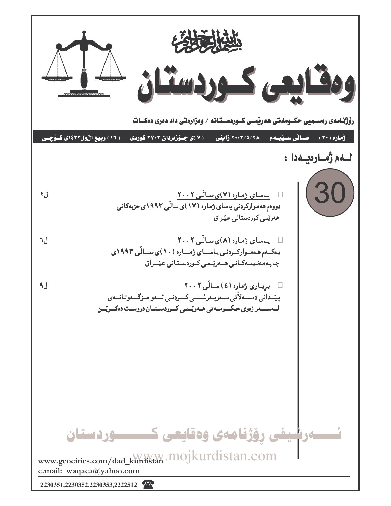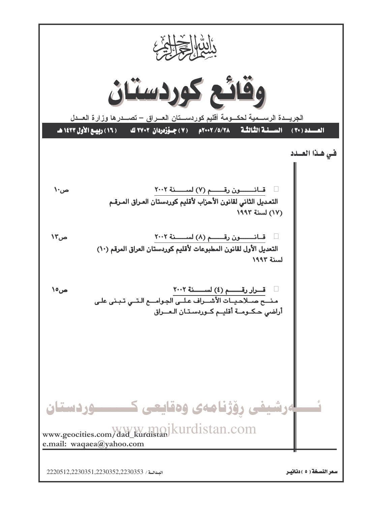

البدائية / 2220512,2230351,2230352,2230353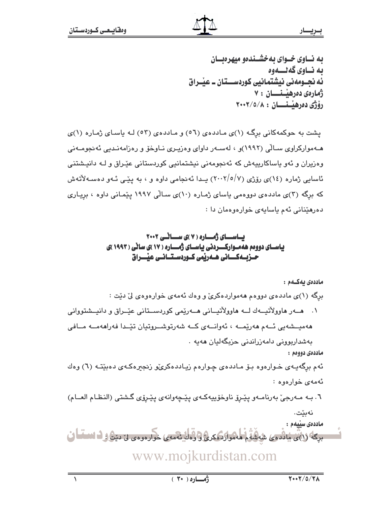به نساوی خسوای به خشسندهو میهرهبسان ىە نــاوي گەنـــەوە ئه نجــومهني نيشتمـانيي كوردســـتان ــ عيـْــراق ژمارەي دەرھىستىسان ٧٠ رۆژى دەرھىسىسان : ٢٠٠٢/٥/٨

یشت به حوکمهکانی برگ (۱)ی ماددهی (٥٦) و ماددهی (٥٣) لـه یاسای ژماره (۱)ی هــهوارکراوی ســالّی (۱۹۹۲)و ، لهســهر داوای وهزیــری نــاوخوّ و رهزامهنـدیی ئهنجومــهنی وهزیران و ئەو یاساکارییەش کە ئەنجومەنى نیشتمانیی کوردستانی عیّراق و لـه دانیشتنی ئاسایی ژماره (١٤)ی رۆژی (٢٠٠٢/٥/٧) پـدا ئەنجامی داوه و ، به پێـی ئـهو دەسـەلأتەش که برگه (۳)ی ماددهی دووهمی یاسای ژماره (۱۰)ی سالّی ۱۹۹۷ ییْمانی داوه ، بریاری دەرھێنانى ئەم ياسايەي خوارەوەمان دا :

## باسال ژهساره ( ۷ )ی سانسی ۲۰۰۲ یاسـای دوومم ههمـوارکـــردنی یاسـای ژمـــاره ( ۱۷ )ی سانی ( ۱۹۹۳ )ی حـزيـــهكــــانى هـــهريمى كــوردســتــانــى عيْــــراق

ماددەى بەكــەم : برِگه (۱)ی ماددهی دووهم ههمواردهکریّ و وهك ئهمهی خوارهوهی لیّ دیّت : هەميىشەيى ئەم ھەريمــــه ، ئەوانــــەي كـــه شەرتوشـــروتيان تيْــدا فەراھەمـــه مــافى بەشداربوونى دامەزراندنى حزيگەليان ھەيە . ماددەي دووەم : ئهم برگهيـهي خـوارهوه بـۆ مـاددهي چـوارهم زيـاددهكريّو زنجيرهكـهي دهبێتـه (٦) وهك ئەمەي خوارەوە : ٦. بـه مـهرجيّ بهرنامـهو پێـروّ ناوخوّييهكـهي پێـڃهوانهي پێـروّي گـشتي (النظـام العــام) نەىئت. ماددەى سێيەم : بِرِكَهُ (١)يَ مَانْدِمَى شَاهَدَهُ مَهْمَوارَدَ كِرِيٌّ وَ وَمَانٍ نَهْمَمِي خَوارِدِودِي لِيَ دِيَنْ فِ انتساما www.mojkurdistan.com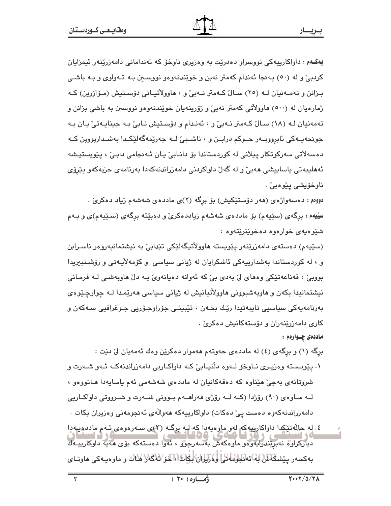پهکـهم : داواکارییهکی نووسراو دەدرێت به وەزیری ناوخۆ که ئەندامانی دامەزرێنەر ئیمزایان کردېئ و له (٥٠) په نجا ئهندام کهمتر نهبن و خويندنهوهو نووســن بـه تــهواوي و بـه باشـي بـزانن و تهمـهنيان لـه (٢٥) سـالٌ كـهمتر نـهبيٌ و ، هاوولاُتيـاني دۆسـتيش (مـۆازرين) كـه ژمارهیان له (٥٠٠) هاوولاٌتي کهمتر نهبيٌ و زۆرپنهیان خوێندنهوهو نووسین به باشي بزانن و تهمهنيان لـه (١٨) سـالٌ كـهمتر نـهبيٌ و ، ئهندام و دۆسـتيش نـابيٌ بـه جينايـهتيٌ يان بـه جونحەيــەكى ئابروويــەر حــوكم درابــن و ، ناشــبـيّ لــه جەريّمەگەليّكــدا بەشــداربووين كــه دەسەلاتی سەرکوتکار پیلانی لە کوردستاندا بۆ دانـابی یـان ئـەنجامی دابـیْ ، پێویستیـشه ئەھلىيەتى ياساييشى ھەبى' و لە گەلْ داواكردنى دامەزراندنەكەدا بەرنامەي حزيەكەو يێرۆي ناوخۆيشى يێوەبى' .

دووهم : دهسهواژهي (هەر دۆستێکیش) بۆ برگە (۲)ی ماددەی شەشەم زیاد دەكرىٰ . سِیْیهم : برگهی (سێپهم) بۆ ماددەی شەشەم زیاددەکریّ و دەبێتە برگەی (سـێپەم)ی و بـﻪم شئوهبهى خوارەوه دەخوينريتەوە :

(سێپهم) دەستەي دامەزرێنەر يێويستە ھاوولاتیگەلێکی تێدابیٚ بە نیشتمانیەروەر ناسىرابن و ، له کوردستاندا بەشدارییەکی ئاشکرایان له ژیانی سیاسی و کۆمەلأیـەتی و رۆشـنبیریدا بووييٰؒ ، قەناعەتێِکی وەھای لیؒ بەدی بیؒ کە ئەوانە دەيانەویؒ بـه دلؒ ھاويەشـی لـه فرمـانی نیشتمانیدا بکهن و هاوبهشبوونی هاوولاتیانیش له ژیانی سیاسی ههریمدا لـه چوارچیوهی بەرنامەپەكى سياسىي تاپبەتپدا رێك بخـەن ، تێبينـي جۆراوجـۆرپى جـوغرافيي سـﻪكەن و کاری دامەزرینەران و دۆستەکانیش دەكرىٰ .

ماددهۍ چــوارهم :

برگه (۱) و برگهي (٤) له ماددهي حهوتهم ههموار دهکرين وهك ئهمهبان ليّ ديّت :

- ۱. پێویسته وهزیـری نــاوخوّ لــهوه دلّنیــابیّ کــه داواکــاریی دامهزراندنهکـه ئــهو شــهرت و شروتانهي بهجيّ هێناوه که دهقهکانيان له ماددهي شهشهمي ئهم باسايهدا هـاتووهو ، لــه مــاوه ی (۹۰) رۆژدا (کــه لــه رۆژی فهراهــهم بــوونی شــهرت و شــرووتی داواکــاریی دامەزراندنەكەوە دەست يىّ دەكات) داواكارىيەكە ھەوالّەي ئەنجومەنى وەزيران بكات ٠
- ٤. له حالهتێکدا داواکاریپهکه لهو ماوهپهدا که لبه برگـه (۳)ی سـهرهوهی ئـهم ماددهیهدا دياركراوه نەبرىندرايەوەو ماوەكەش بەسەرچۇق ، ئەوا دەستەكە بۆي ھەيە داوكارىيــەك بەكسەر يێشڭاش(بەنەللولەڭ) لوڭلىلان لېڭاشا، لەق ئەڭلار ئاڭ و ماوەيەكى ھاوتـاي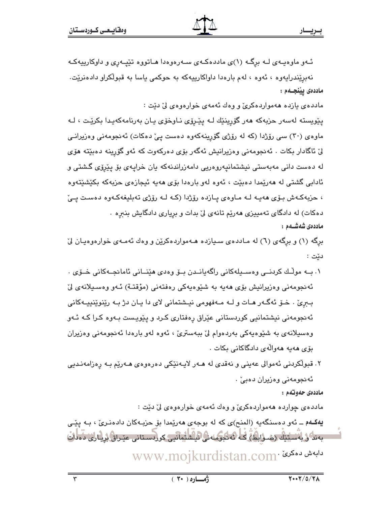ئـهو ماوهيـهى لـه برگـه (۱)ى ماددهكـهى سـهرهوهدا هـاتووه تێيـهرى و داوكارييهكـه

نهبريندرايهوه ، ئەوە ، لەم بارەدا داواكارييەكە بە حوكمى ياسا بە قبولكراو دادەنريت. ماددەى ييْنجــەم :

مادده ی یازده ههمواردهکریّ و وهك ئهمهی خوارهوهی ليّ ديّت :

يێويسته لەسەر حزبەكە ھەر گۆرينێك لـه يێـرۆى نـاوخۆى يـان بەرنامەكەيـدا بكرێـت ، لـه ماوهی (۳۰) سی رۆژدا (که له رۆژی گۆرپنهکهوه دهست پیّ دهکات) ئهنجومهنی وهزیرانـی لىٰ ئاگادار بكات . ئەنجومەنى وەزيرانيش ئەگەر بۆى دەركەوت كە ئەو گۆرينە دەبێتە ھۆى له دەست دانى مەبەستى نيشتمانيەروەريى دامەزراندنەكە يان خرايەي بۆ يێرۆي گشتى و ئادابي گشتي له هەرێمدا دەبێت ، ئەوە لەو بارەدا بۆي ھەيە ئىجازەي حزبەكە بكێشێتەوە ، حزبهکهش بوّى ههيه له ماوهى يازده روِّژدا (که له روِّژى تهبليغهکهوه دهست يىّ دهکات) له دادگای تهمییزی ههریم تانهی لیّ بدات و بریاری دادگایش بنبره . ماددەى شەشــەم :

برگه (۱) و برگهی (٦) له مـاددهی سـیازده هـهمواردهکرین و وهك ئهمـهی خوارهوهیـان ليّ دێت :

- ٠. بــه مولّـك كردنــي وەســيلەكانى راگەيانــدن بــۆ وەدى ھێنــانى ئامانجــەكانى خــۆى ٠ ئەنجومەنى وەزيرانيش بۆي ھەيە بە شێوەيەكى رەفتەنى (مؤقتـة) ئـەو وەسىيلانەي لىٰ بـبريّ . خــوّ ئهگـهر مـات و لــه مـهفهومي نيـشتماني لاي دا پـان دژ بـه ريّنوينييـهكاني ئەنجومەنى نيشتمانيى كوردستانى عێراق رەفتارى كـرد و پێویست بـەوە كـرا كـه ئـەو وەسپلانەي بە شێوەپەكى بەردەوام لىٰ بېەسترىٰ ، ئەوە لەو بارەدا ئەنجومەنى وەزيران يۆي ھەپپە ھەواللەي دادگاكانى يكات
- ۲. قبولکردنی ئهموالی عەینی و نەقدی لە ھـەر لاپـەنێکی دەرەوەی ھـەرێم بـە رەزامەنـدىي ئەنجومەنى وەزيران دەبى ْ .

ماددەي حەوتەم :

مادده ی چوارده ههمواردهکریّ و وهك ئهمهی خوارهوهی لیّ دیّت :

یهکـهم \_ ئهو دهسنگهیه (المنح)ی که له بوجهی ههریمدا بق حزبـهکان دادهنـریّ ، بـه ییّـی بەندە (بەستىك زېرابان) كە ئەنگۈملەن ئاشلىرانىي كوردستانى عدراق لريارى دەرات www.mojkurdistan.com· دابه ش دویکرئ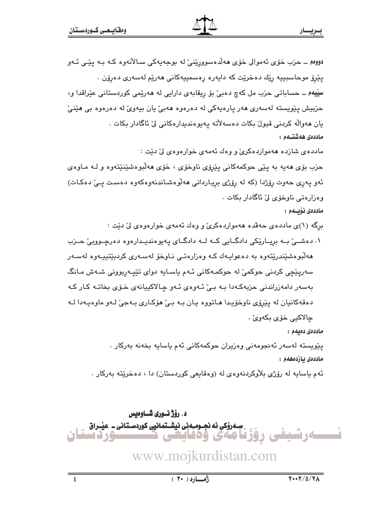دووم ــ حزب خوّی ئەموالی خوّی ھەلّدەسوورِی٘نیٚ له بوجەپەکی سـالأنەوە کـه بـه پێـی ئـهو يێرۆ موحاسبېيه رێك دەخرێت كە دايەرە رەسمىيەكانى ھەرێم لەسەرى دەرۆن ٠ سِڀّيهم ــ حساباتي حزب مل کهچ دهبيّ بوّ ريقابهي دارايي له ههريمي کوردستاني عيّراقدا و، حزبيش پٽويسته لهسهري ههر پارهپهکي له دهرهوه ههبيّ پان بيهويّ له دهرهوه بي هێنيّ بان ھەوالّە كردنى قبولْ بكات دەسەلاتە يەيوەندېدارەكانى لىْ ئاگادار بكات . ماددەى ھەشتــەم :

مادده ی شازده ههمواردهکری و وهك ئهمهی خوارهوهی لیّ دیّت :

حزب بۆی هەپە بە يێى حوکمەکانى يێرۆی ناوخۆی ، خۆی ھەلّبوەشێنێتەوە و لــه مـاوەی ئەو يەرى حەوت رۆژدا (كە لە رۆژى برياردانى ھەلوەشاندنەوەكەوە دەست يى دەكات) وەزارەتى ناوخۆى لىٰ ئاگادار بكات .

ماددەى نۆيىلەم :

برگه (۱)ی ماددهی حهقده ههمواردهکریّ و وهك ئهمهی خوارهوهی لیّ دیّت :

۱. دهشــیْ بــه بریــاریکی دادگــایی کــه لــه دادگــای پهیوهندیـدارهوه دهرچــووبیْ حــزب هەلّبوەشێندرێتەوە بە دەعواپـەك كـە وەزارەتـى نـاوخۆ لەسـەرى كردېێتيپـەوە لەسـەر سەريٽچى كردنى حوكمىؒ لە حوكمـەكانى ئـەم ياسـايە دواى تێپـەربوونى شـەش مـانگ بەسەر دامەزراندنى حزبەكەدا بـه بـىٰ ئـهوەي ئـهو چـالاكييانهى خـۆى بخاتـه كـار كـه دهقهکانيان له پێرۆي ناوخۆيدا هـاتووه يـان بـه بـيٰ هۆکـاري بـهجيٰ لـهو ماوهيـهدا لـه چالاکيي خۆي بکهوئ .

ماددەى دەيەم :

يێويسته لەسەر ئەنجومەنى وەزيران حوكمەكانى ئەم ياسايە بخەنە بەركار . ماددەى بازدەھەم :

ئهم ياسايه له رۆژى بلاّوكردنهوهى له (وهقايعى كوردستان) دا ، دەخرێته بەركار .

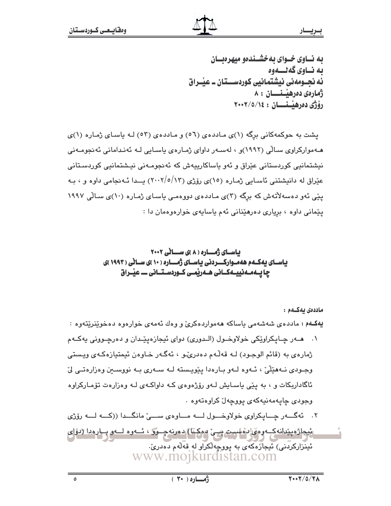به نساوی خسوای به خشسندهو میهرهبسان ىە نساوي گەنسىەوە ئه نجــومهني نيشتمـانيي كوردســـتان ــ عيـْــراق ژمارەي دەرھىستىسان : ٨ رۆژى دەرھىسىسان : ١٤/٥/١٤+٢٠٠

یشت به حوکمهکانی برگه (۱)ی ماددهی (٥٦) و ماددهی (٥٣) لـه یاسای ژماره (۱)ی هـهموارکراوی سـالّی (۱۹۹۲)و ، لهسـهر داوای ژمـارهی باسـایی لـه ئهنـدامانی ئهنجومـهنی نیشتمانیی کوردستانی عیّراق و ئەو پاساکاریپەش کە ئەنجومـەنی نیـشتمانیی کوردسـتانی عێراق له دانیشتنی ئاسـایی ژمـاره (١٥)ی رۆژی (١٣/٥/١٣) پــدا ئـه نجامی داوه و ، بـه یێی ئەو دەسەلاتەش کە برگە (۳)ی مـاددەی دووەمـی یاسـای ژمـارە (۱۰)ی سـالّی ۱۹۹۷ يێماني داوه ، برياري دەرهێناني ئەم ياسايەي خوارەوەمان دا :

# باسای ژُهـاره ( ۸ )ی سـانی ۲۰۰۲ یاسای یه کـهم هه مـوارکـــردنی یاسـای ژمـــاره ( ۱۰ )ی سـانی ( ۱۹۹۳ )ی چا یےملے نیپےکانی ھے ریمی کوردستانی ۔ عیْــراق

ماددەي بەكــەم :

يهکـهم : ماددهی شهشهمی ياساکه ههمواردهکریّ و وهك ئهمهی خوارهوه دهخوێنرێتهوه :

۰۱ هـــهر چــايـکراوێکي خولاوخــول (الــدوري) دوای ئيجازهيێــدان و دهرچــووني پهکــهم ژمارهي به (قائم الوجـود) لـه قهڵـهم دهدرێو ، ئهگـهر خـاوهن ئيمتيازهكـهي ويـستي وجـودی نـههێڵیٚ، ئـهوه لـهو بـارهدا یێویـسته لـه سـهری بـه نووسـین وهزارهتـی لیّ ئاگاداربکات و ، به پێی یاسـایش لـهو رۆژهوهی کـه داواکـهی لـه وهزارهت تۆمـارکراوه وجودى چاپەمەنپەكەي پووچەل كراوەتەوە .

ئِيجاژُهيٽانهڪِ وهي ُدهست صِيّ موکيا) دهرنه چــور ، ئــهوه لــهو بــارودا (دواي ئینزارکردنی) نیجازهکهی به پووچهلکراو له قهْلُهم دهدری، www.mojkurdistan.com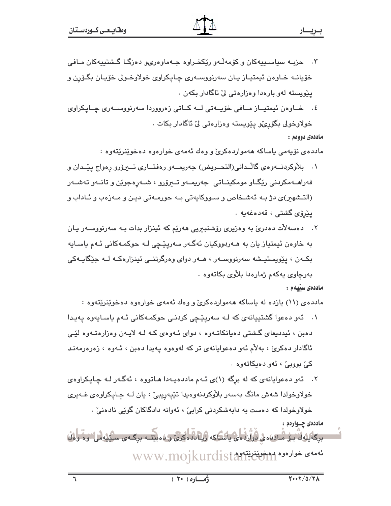- ۰۳ حزبـه سياسـييهکان و کۆمەڵـەو رێکخـراوه جـهماوهریو دەزگـا گـشتييهکان مـافي خۆيانــه خـاوەن ئيمتيـاز يـان سەرنووســەرى چـايكراوى خولاوخـولى خۆيـان بگـۆرن و يٽويسته لهو بارهدا وهزارهتي ليٰ ئاگادار بکهن .
- ٤. خـاوەن ئيمتيــاز مــافى خۆيــەتى لــە كــاتى زەرووردا سەرنووســەرى چــايكراوى خولاوخولی بگۆرىرى يێويسته وەزارەتى لىٰ ئاگادار بكات .

ماددهۍ دووهم :

ماددەی نۆپەمى ياساكە ھەمواردەكرىّ و وەك ئەمەی خوارەوە دەخوي٘نرێتەوە :

- ١. بلأوكردنــهوهي گالـُـداني(التحــريض) جهريمــهو رهفتــاري تــيرۆرو رهواج پێــدان و فهراهــهمکردنی رێگــاو مومکینــاتی جهریمــهو تــیرۆرو ، شــهرهجوێن و تانــهو تهشــهر (التشهیر)ی دژ بـه ئهشـخاص و سـووکایهتی بـه حورمـهتی دیـن و مـهزهب و ئـاداب و يێرۆى گشتى ، قەدەغەيە .
- ۲. دهسهلات دهدريّ به وهزيري رۆشنديريي هەريّم كه ئينزار بدات بـه سەرنووسـەر يـان به خاوەن ئیمتیاز یان به ھـﻪردووکیان ئەگـﻪر سەریێچى لـﻪ حوکمـﻪکانى ئـﻪم ياسـايە بک+ن ، پێویستیـشه سهرنووسـهر ، هـهر دوای وهرگرتنـی ئینزارهکـه لـه جێگایـهکی بەرچاوى يەكەم ژمارەدا بلاوى بكاتەوە .

ماددەي سىيەم :

مادده ی(۱۱) یازده له باساکه ههمواردهکریّ و وهك ئهمهی خوارهوه دهخویّنریّتهوه :

- ١. ئەو دەعوا گشتييانەي كە لـه سەريێڃى كردنـى حوكمـەكانى ئـهم ياسـايەوە يەيدا دهبن ، ئیددیعای گشتی دهیانکاتـهوه ، دوای ئـهوهی کـه لـه لایـهن وهزارهتـهوه لێـی ئاگادار دهکری ، بهلام ئەو دەعوايانەی تر کە لەوەوە پەيدا دەبن ، ئـەوە ، زەرەرمەنـد کے بووبے ، ئەو دەبكاتەوە .
- ۲. ئەو دەعوايانەي كە لە برگە (۱)ى ئـەم ماددەيـەدا ھـاتووە ، ئەگـەر لـە چـايـكراوەي خولاوخولدا شەش مانگ بەسەر بلاّوكردنەوەپدا تێپەريبيّ ، يان لـه چـاپكراوەي غـەيرى خولاوخولدا که دهست به دابهشکردنی کرابیّ ، ئهوانه دادگاکان گوێی نادهنیّ .

ماددەى چـوارەم : برگايهان بن ماده، ه ه راوز ده ه پاسكنه وياده ايرخ و ه ميتند برگ و سنگهاش اين آران تهمهى خوارەوە بەخقىنىنىتەر WWW.mojkurdist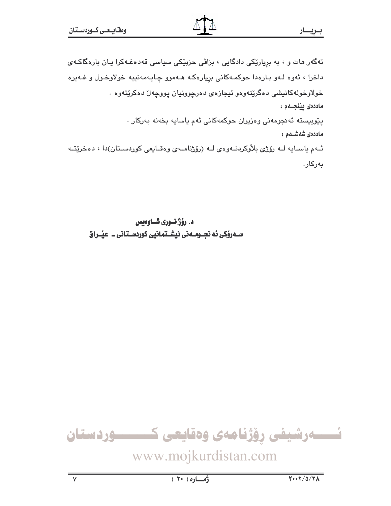# <u>ب ري</u>ــار

ماددەى شەشــەم :

ئەگەر مات و ، بە برِیارێکی دادگایی ، بزاڤی حزبێکی سیاسی قەدەغـەکرا یـان بارەگاکـەی داخرا ، ئەوە لـەو بـارەدا حوكمـەكانى بريارەكـە ھـەموو چـايەمەنييە خولاوخـول و غـەيرە خولاوخولهکانیشی دهگریتهوهو ئیجازهی دهرچوونیان یووچهال دهکریتهوه . ماددەى يېڭىچىمم : يێوييسته ئەنجومەنى وەزيران حوكمەكانى ئەم ياسايە بخەنە بەركار .

ئـهم ياسـايه لـه رۆژى بلاوكردنـهوهى لـه (رۆژنامـهى وەقـايعى كوردسـتان)دا ، دەخريتـه بەركار.

د. رؤژ نسوری شساوهیس 

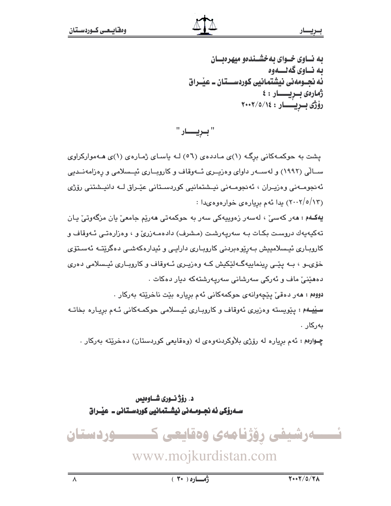به نساوی خسوای به خشسندهو میهرهبسان ىە نــاوي گەنـــەوە ئه نجــومەنى نيشتمـانيى كوردســـتان ــ عيْــراق ژمارەى بىريسىسار : ٤ رۆژى بىريسىار: ٢٠٠٢/٥/١٤

" بىريــــار "

یشت به حوکمهکانی برگ (۱)ی ماددهی (٥٦) لـه باسـای ژمـارهی (۱)ی هـهموارکراوی ســالّی (۱۹۹۲) و لهســهر داوای وهزیــری ئــهوقاف و کاروبــاری ئیــسلامی و رهزامهنــدیی ئەنجومــەنى وەزيـران ، ئەنجومــەنى نيـشتمانيى كوردسـتانى عێـراق لــە دانيـشتنى رۆژى (۲۰۰۲/٥/۱۳) یدا ئهم بریارهی خوارهوههدا :

**يەكــەم : م**ەر كەسى<sub>ن</sub> ، لەسەر زەوپيەكى سەر بە حوكمەتى **م**ەرێم جامعىّ يان مزگەوتىّ يـان تەكيەيەك دروست بكات بـه سەرپەرشت (مـشرف) دادەمـەزرىّ و ، وەزارەتـى ئـەوقاف و كاروباري ئيسلامييش بەرێوەبردنى كاروباري دارايى و ئيدارەكەشى دەگرێتـﻪ ئەسـتۆي خۆی و ، بـه ییّـی رینماییهگـهلیّکیش کـه وهزیـری ئـهوقاف و کاروبـاری ئیـسلامی دهری دەھێنى ماف و ئەركى سەرشانى سەريەرشتەكە ديار دەكات . دووم : مەر دەقى يێچەوانەي حوكمەكانى ئەم بريارە بێت ناخرێتە بەركار .

سییهم : پیویسته وهزیری ئەوقاف و کاروباری ئیسلامی حوکمـهکانی ئـهم بریـاره بخاتـه بەركار .

چـوارهم: ئهم برياره له رۆژى بلاوكردنهوهى له (وهقايعى كوردستان) دهخريته بهركار .

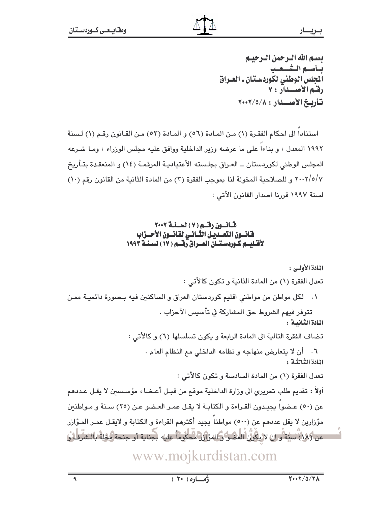بسم الله الترجمن الترجينم بسأسبم الشسعيب المجلس الوطني لكوردستان ـ العـراق رقم الأصلدار : ٧ تأريخ الأصلدار: ٢٠٠٢/٥/٨

استنادا الى احكام الفقرة (١) من المادة (٥٦) و المادة (٥٣) من القانون رقم (١) لسنة ١٩٩٢ المعدل ، و بناءا على ما عرضه وزير الداخلية ووافق عليه مجلس الوزراء ، ومـا شـرعه المجلس الوطني لكوردستان ــ العـراق بجلـسته الأعتياديـة المرقمـة (١٤) و المنعقـدة بتـأريخ ٢٠٠٢/٥/٧ و للصلاحية المخولة لنا بموجب الفقرة (٣) من المادة الثانية من القانون رقم (١٠) لسنة ١٩٩٧ قررنا اصدار القانون الأتي :

### قانون رقم (٧) لسنة ٢٠٠٢ فانسون التعسديس الثساني لقانسون الأحسزاب لأقتليتم كتوردستتان العنزاق رقتم ( ١٧ ) لسنة ١٩٩٣

المادة الأولى :

تعدل الفقرة (١) من المادة الثانية و تكون كالأتى :

٠١ لكل مواطن من مواطني اقليم كوردستان العراق و الساكنين فيه بـصورة دائميـة ممـن تتوفر فيهم الشروط حق المشاركة في تأسيس الأحزاب .

المادة الثنانيسة :

تضاف الفقرة التالية الى المادة الرابعة و يكون تسلسلها (٦) و كالأتى :

٦. أن لا يتعارض منهاجه و نظامه الداخلي مع النظام العام . المادة الثِّبالثَّبة :

تعدل الفقرة (١) من المادة السادسة و تكون كالأتى :

أولاً : تقديم طلب تحريري الى وزارة الداخلية موقع من قبـل أعـضاء مؤسسين لا يقـل عـددهم عن (٥٠) عـضوا يجيدون القـراءة و الكتابـة لا يقـل عمـر العـضو عـن (٢٥) سـنة و مـواطنين مؤزارين لا يقل عددهم عن (٥٠٠) مواطناً يجيد أكثرهم القراءة و الكتابة و لايقـل عمـر المـؤازر عن (٨٨) سنة و ان لا يكون العضو و المؤازر محكوماً عليه بجناية أو جنحة مخلة بالشرطا و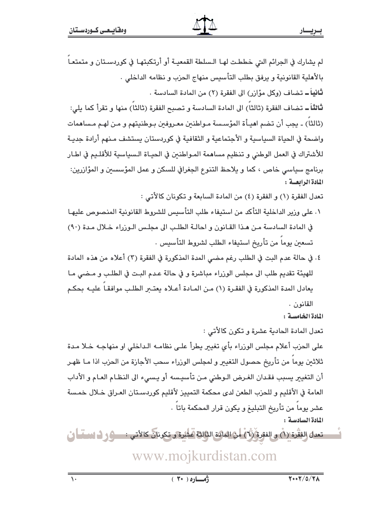لم يشارك في الجرائم التي خططت لهـا الـسلطة القمعيـة أو أرتكبتهـا في كوردسـتان و متمتعـاً بالأهلية القانونية و يرفق بطلب التأسيس منهاج الحزب و نظامه الداخلي . **ثانياً ــ** تضاف (وكل مؤازر) الى الفقرة (٢) من المادة السادسة .

ثالثاً ــ تضاف الفقرة (ثالثا) الى المادة السادسة و تصبح الفقرة (ثالثا) منها و تقرأ كما يلي: (ثالثا) ـ يجب أن تضم اهيـأة المؤسسة مـواطنـن معـروفـن بـوطنيتهم و مـن لهـم مـساهمات واضحة في الحياة السياسية و الأجتماعية و الثقافية في كوردستان يستشف مـنهم أرادة جديـة للأشتراك في العمل الوطني و تنظيم مساهمة المـواطنين في الحيـاة الـسياسية للأقلـيم في اطـار برنامج سياسي خاص ، كما و يلاحظ التنوع الجغرافي للسكن و عمل المؤسسين و المؤازرين: المادة الرابعة :

تعدل الفقرة (١) و الفقرة (٤) من المادة السابعة و تكونان كالأتي :

- ١. على وزير الداخلية التأكد من استيفاء طلب التأسيس للشروط القانونية المنصوص عليهـا في المادة السادسة من هذا القانون و احالة الطلب الى مجلس الوزراء خلال مدة (٩٠) تسعين يوما من تأريخ استيفاء الطلب لشروط التأسيس .
- ٤. في حالة عدم البت في الطلب رغم مضى المدة المذكورة في الفقرة (٣) أعلاه من هذه المادة للهيئة تقديم طلب الى مجلس الوزراء مباشرة و في حالة عدم البت في الطلب و مـضى مـا يعادل المدة المذكورة في الفقـرة (١) مـن المـادة أعـلاه يعتـــر الطلـب موافقـا عليــه بحكـم القانون .

المادة الخامسية :

تعدل المادة الحادية عشرة و تكون كالأتي : على الحزب أعلام مجلس الورزاء بأى تغيير يطرأ علـى نظامـه الـداخلي او منهاجـه خـلا مـدة ثلاثنن بوما من تأريخ حصول التغيير و لمجلس الوزراء سحب الأجازة من الحزب اذا مـا ظهـر أن التغيير بسبب فقدان الغرض الـوطني مـن تأسيـسه أو بـسيء الى النظـام العـام و الأداب العامة في الأقليم و للحزب الطعن لدى محكمة التمييز لأقليم كوردسـتان العـراق خـلال خمـسة عشر يوما من تأريخ التبليغ و يكون قرار المحكمة باتا . المادة السادسة:

تعدل الفَقَّرة (1ٌ) و الفقرةِ (1ٌ) من العالمة الثالثة صَّلدة و تكونان كالأتي : صوفي ف الاسمِّيا إنْ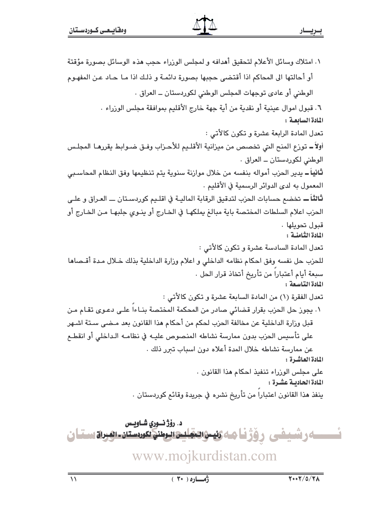١. امتلاك وسائل الأعلام لتحقيق أهدافه و لمجلس الوزراء حجب هذه الوسائل بصورة مؤقتة أو أحالتها الى المحاكم اذا أقتضى حجبها بصورة دائمـة و ذلـك اذا مـا حـاد عـن المفهـوم الوطني أو عادي توجهات المجلس الوطني لكوردستان ــ العراق . ٦. قبول اموال عينية أو نقدية من أية جهة خارج الأقليم بموافقة مجلس الوزراء . المادة السابعة: تعدل المادة الرابعة عشرة و تكون كالأتى : أولاً ـــ توزع المنح التي تخصص من ميزانية الأقلـيم للأحـزاب وفـق ضـوابط يقررهـا المجلـس الوطني لکوردستان ــ العراق . ثانياً ــ يدير الحزب أمواله بنفسه من خلال موازنة سنوية يتم تنظيمها وفق النظام المحاسـبي المعمول به لدى الدوائر الرسمية في الأقليم . **ثالثاً ــ** تخضم حسابات الحزب لتدقيق الرقابة الماليـة في اقلـيم كوردسـتان ـــ العـراق و علـي الحزب اعلام السلطات المختصة باية مبالغ يملكهـا في الخـارج أو ينـوى جلبهـا مـن الخـارج أو قيول تجويلها . المادة الثّامنية : تعدل المادة السادسة عشرة و تكون كالأتى : للحزب حل نفسه وفق احكام نظامه الداخلي و اعلام وزارة الداخلية بذلك خلال مدة أقـصاها سبعة أيام أعتبارا من تأريخ أتخاذ قرار الحل . المادة التاسعة : تعدل الفقرة (١) من المادة السابعة عشرة و تكون كالأتى : ٠. يجوز حل الحزب بقرار قضائي صادر من المحكمة المختصة بنـاءا علـى دعـوى تقـام مـن قبل وزارة الداخلية عن مخالفة الحزب لحكم من أحكام هذا القانون بعد مـضى سـتة اشـهر على تأسيس الحزب بدون ممارسة نشاطه المنصوص عليـه في نظامـه الـداخلي أو انقطـع عن ممارسة نشاطه خلال المدة أعلاه دون اسباب تعرر ذلك . المادة العاشرة : على مجلس الورراء تنفيذ احكام هذا القانون . المادة الحاديبة عشرة : ينفذ هذا القانون اعتبارا من تأريخ نشره في جريدة وقائع كوردستان .

د. رۆژ نسورى شــاويــس <u> \_\_> رشيفى رۆژنا مەرىيى تىغايى تىمىنى نكودستان تىرىن سىنان</u> www.mojkurdistan.com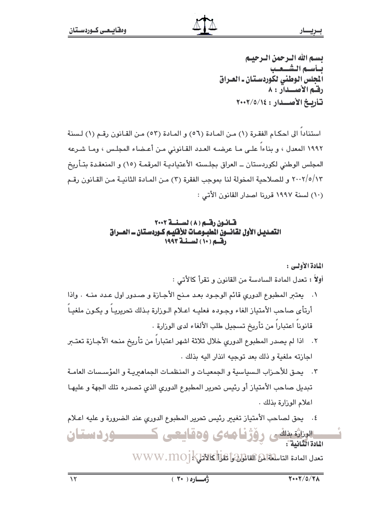بسم الله الترجمن الترجينم بسأسسم الشسعيب المجلس الوطني لكوردستان ـ العـراق رقم الأصلدار : ٨ تأريخ الأصلدار: ٢٠٠٢/٥/١٤

استنادا الى احكـام الفقـرة (١) مـن المـادة (٥٦) و المـادة (٥٣) مـن القـانون رقـم (١) لـسنة ١٩٩٢ المعدل ، و بناءا علـى مـا عرضـه العـدد القـانوني مـن أعـضاء المجلـس ، ومـا شـرعه المجلس الوطني لكوردستان ــ العراق بجلـسته الأعتياديـة المرقمـة (١٥) و المنعقـدة بتـأريخ ٢٠٠٢/٥/١٣ و للصلاحية المخولة لنا بموجب الفقرة (٢) من المـادة الثانيـة مـن القـانون رقـم (١٠) لسنة ١٩٩٧ قررنا اصدار القانون الأتي :

### قانون رقم (٨) لسنة ٢٠٠٢ التصديـل الأول لقـانـــون المطبــوعـــات للأقليــم كــوردسـتـان ـــ الصــراق رقسم (١٠) لسنسة ١٩٩٣

المادة الأولس :

أولاً : تعدل المادة السادسة من القانون و تقرأ كالأتي :

- ٠١ يعتبر المطبوع الدوري قائم الوجود بعد منح الأجازة و صدور اول عدد منـه . واذا أرتأى صاحب الأمتياز الغاء وجوده فعليـه اعـلام الـوزارة بـذلك تحريريـا و يكـون ملغيـا قانوناً اعتباراً من تأريخ تسجيل طلب الألغاء لدى الوزارة .
- ٢. اذا لم يصدر المطبوع الدوري خلال ثلاثة اشهر اعتباراً من تأريخ منحه الأجازة تعتبر اجازته ملغية و ذلك بعد توجيه انذار اليه بذلك .
- ٢. [ يحق للأحـزاب الـسياسية و الجمعيـات و المنظمـات الجماهيريـة و المؤسـسات العامـة تبديل صاحب الأمتياز أو رئيس تحرير المطبوع الدورى الذي تصدره تلك الجهة و عليهـا اعلام الوزارة بذلك .
- ٤. يحق لصاحب الأمتياز تغيير رئيس تحرير المطبوع الدوري عند الضرورة و عليه اعـلام

ــــوردستان الوناثة بنائس رۆژنیا مەي ۋەقايىعى ك المادة الثنائية : THE INGLETIC USING THE USING THE USING THE USING THE USING THE USING THE USING THE USING THE USING THE USING T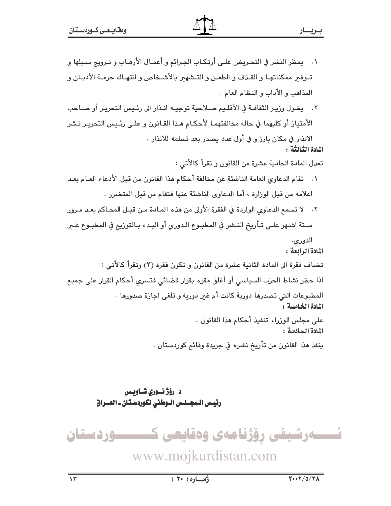١. يحظر النشر في التحريض علـى أرتكـاب الجـرائم و أعمـال الأرهـاب و تـرويج سـبلها و تبوفير ممكناتها و القنف و الطعن و التشهير بالأشخاص و انتهـاك حرمـة الأديـان و المذاهب و الأداب و النظام العام . ٢. يخـول وزيـر الثقافـة في الأقلـيم صـلاحية توجيـه انـذار الى رئـيس التحريـر أو صـاحب

الأمتياز أو كليهما في حالة مخالفتهمـا لأحكـام هـذا القـانون و علـى رئـيس التحريـر نـشر الانذار في مكان بارز و في أول عدد يصدر بعد تسلمه للانذار .

النادة الثنائثة :

تعدل المادة الحادية عشرة من القانون و تقرأ كالأتي :

- ١. تقام الدعاوى العامة الناشئة عن مخالفة أحكام هذا القانون من قبل الأدعاء العـام بعـد اعلامه من قبل الوزارة ، أما الدعاوى الناشئة عنها فتقام من قبل المتضرر .
- ٢. لا تسمع الدعاوى الواردة في الفقرة الأولى من هذه المـادة مـن قبـل المحـاكم بعـد مـرور سـتة اشـهر علـي تـأريخ النـشر في المطبـوع الـدوري أو البـدء بـالتوريع في المطبـوع غـير الدوری.

المادة الرابعة :

تضاف فقرة الى المادة الثانية عشرة من القانون و تكون فقرة (٣) وتقرأ كالأتى : اذا حظر نشاط الحزب السياسي أو أغلق مقره بقرار قضائي فتسرى أحكام القرار على جميع المطبوعات التي تصدرها دورية كانت أم غير دورية و تلغي اجازة صدورها . المادة الخامسة : على مجلس الورراء تنفيذ أحكام هذا القانون . المادة السادسة :

ينفذ هذا القانون من تأريخ نشره في جريدة وقائع كوردستان .

د. رؤژ نسوری شــاویــس رئيس الـمجــلـس الـوطني لكوردسـتان ـ العــراق



www.mojkurdistan.com